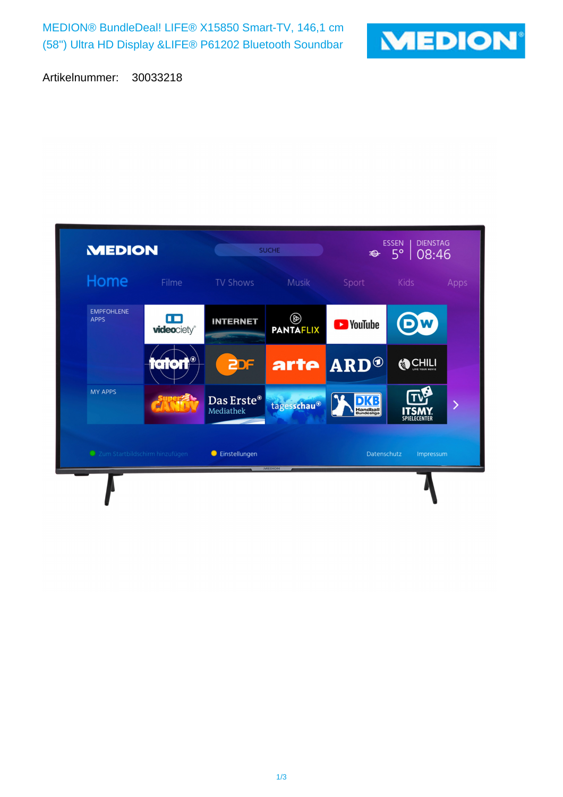MEDION® BundleDeal! LIFE® X15850 Smart-TV, 146,1 cm (58'') Ultra HD Display &LIFE® P61202 Bluetooth Soundbar



Artikelnummer: 30033218

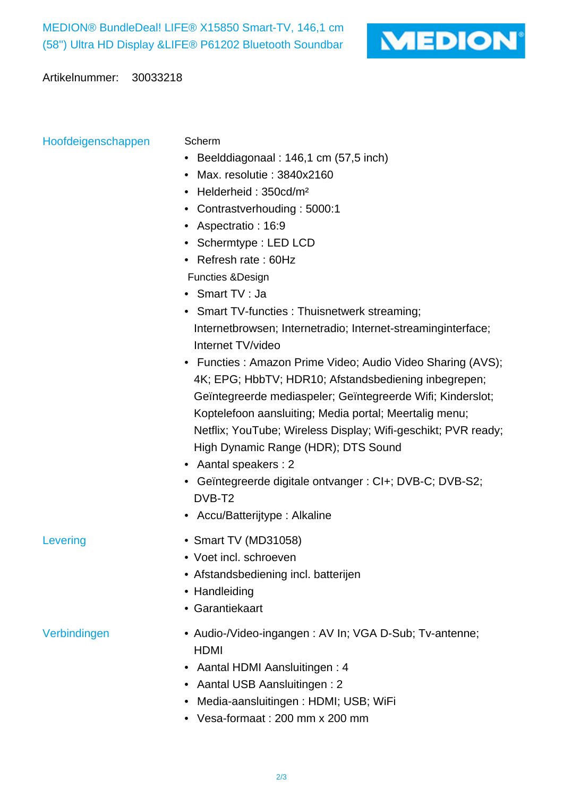

Artikelnummer: 30033218

Hoofdeigenschappen Scherm

- Beelddiagonaal : 146,1 cm (57,5 inch)
- Max. resolutie : 3840x2160
- Helderheid : 350cd/m²
- Contrastverhouding : 5000:1
- Aspectratio : 16:9
- Schermtype : LED LCD
- Refresh rate : 60Hz
- Functies &Design
- Smart TV : Ja
- Smart TV-functies : Thuisnetwerk streaming; Internetbrowsen; Internetradio; Internet-streaminginterface; Internet TV/video
- Functies : Amazon Prime Video; Audio Video Sharing (AVS); 4K; EPG; HbbTV; HDR10; Afstandsbediening inbegrepen; Geïntegreerde mediaspeler; Geïntegreerde Wifi; Kinderslot; Koptelefoon aansluiting; Media portal; Meertalig menu; Netflix; YouTube; Wireless Display; Wifi-geschikt; PVR ready; High Dynamic Range (HDR); DTS Sound
- Aantal speakers : 2
- Geïntegreerde digitale ontvanger : CI+; DVB-C; DVB-S2; DVB-T2
- Accu/Batterijtype : Alkaline
- Levering Smart TV (MD31058)
	- Voet incl. schroeven
	- Afstandsbediening incl. batterijen
	- Handleiding
	- Garantiekaart

- Verbindingen  **Audio-/Video-ingangen : AV In; VGA D-Sub**; Tv-antenne; HDMI
	- Aantal HDMI Aansluitingen : 4
	- Aantal USB Aansluitingen : 2
	- Media-aansluitingen : HDMI; USB; WiFi
	- Vesa-formaat : 200 mm x 200 mm